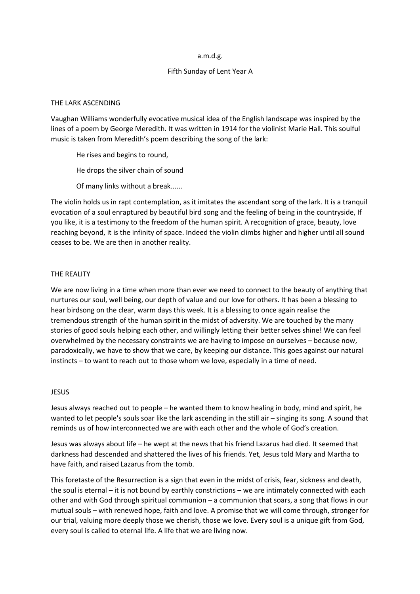### a.m.d.g.

# Fifth Sunday of Lent Year A

## THE LARK ASCENDING

Vaughan Williams wonderfully evocative musical idea of the English landscape was inspired by the lines of a poem by George Meredith. It was written in 1914 for the violinist Marie Hall. This soulful music is taken from Meredith's poem describing the song of the lark:

He rises and begins to round,

He drops the silver chain of sound

Of many links without a break......

The violin holds us in rapt contemplation, as it imitates the ascendant song of the lark. It is a tranquil evocation of a soul enraptured by beautiful bird song and the feeling of being in the countryside, If you like, it is a testimony to the freedom of the human spirit. A recognition of grace, beauty, love reaching beyond, it is the infinity of space. Indeed the violin climbs higher and higher until all sound ceases to be. We are then in another reality.

# THE REALITY

We are now living in a time when more than ever we need to connect to the beauty of anything that nurtures our soul, well being, our depth of value and our love for others. It has been a blessing to hear birdsong on the clear, warm days this week. It is a blessing to once again realise the tremendous strength of the human spirit in the midst of adversity. We are touched by the many stories of good souls helping each other, and willingly letting their better selves shine! We can feel overwhelmed by the necessary constraints we are having to impose on ourselves – because now, paradoxically, we have to show that we care, by keeping our distance. This goes against our natural instincts – to want to reach out to those whom we love, especially in a time of need.

#### **JESUS**

Jesus always reached out to people – he wanted them to know healing in body, mind and spirit, he wanted to let people's souls soar like the lark ascending in the still air – singing its song. A sound that reminds us of how interconnected we are with each other and the whole of God's creation.

Jesus was always about life – he wept at the news that his friend Lazarus had died. It seemed that darkness had descended and shattered the lives of his friends. Yet, Jesus told Mary and Martha to have faith, and raised Lazarus from the tomb.

This foretaste of the Resurrection is a sign that even in the midst of crisis, fear, sickness and death, the soul is eternal – it is not bound by earthly constrictions – we are intimately connected with each other and with God through spiritual communion – a communion that soars, a song that flows in our mutual souls – with renewed hope, faith and love. A promise that we will come through, stronger for our trial, valuing more deeply those we cherish, those we love. Every soul is a unique gift from God, every soul is called to eternal life. A life that we are living now.